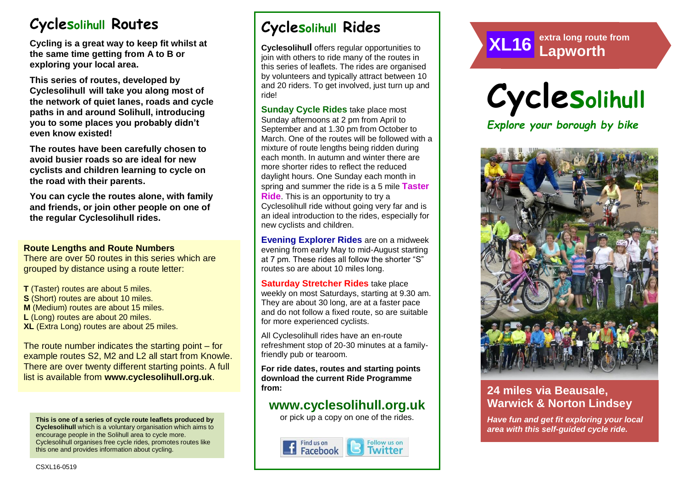# **Cyclesolihull Routes**

**Cycling is a great way to keep fit whilst at the same time getting from A to B or exploring your local area.** 

**This series of routes, developed by Cyclesolihull will take you along most of the network of quiet lanes, roads and cycle paths in and around Solihull, introducing you to some places you probably didn't even know existed!**

**The routes have been carefully chosen to avoid busier roads so are ideal for new cyclists and children learning to cycle on the road with their parents.** 

**You can cycle the routes alone, with family and friends, or join other people on one of the regular Cyclesolihull rides.**

#### **Route Lengths and Route Numbers**

There are over 50 routes in this series which are grouped by distance using a route letter:

**T** (Taster) routes are about 5 miles. **S** (Short) routes are about 10 miles. **M** (Medium) routes are about 15 miles. **L** (Long) routes are about 20 miles. **XL** (Extra Long) routes are about 25 miles.

The route number indicates the starting point – for example routes S2, M2 and L2 all start from Knowle. There are over twenty different starting points. A full list is available from **www.cyclesolihull.org.uk**.

**This is one of a series of cycle route leaflets produced by Cyclesolihull** which is a voluntary organisation which aims to encourage people in the Solihull area to cycle more. Cyclesolihull organises free cycle rides, promotes routes like this one and provides information about cycling.

# **Cyclesolihull Rides**

**Cyclesolihull** offers regular opportunities to join with others to ride many of the routes in this series of leaflets. The rides are organised by volunteers and typically attract between 10 and 20 riders. To get involved, just turn up and ride!

**Sunday Cycle Rides** take place most Sunday afternoons at 2 pm from April to September and at 1.30 pm from October to March. One of the routes will be followed with a mixture of route lengths being ridden during each month. In autumn and winter there are more shorter rides to reflect the reduced daylight hours. One Sunday each month in spring and summer the ride is a 5 mile **Taster Ride**. This is an opportunity to try a Cyclesolihull ride without going very far and is an ideal introduction to the rides, especially for new cyclists and children.

**Evening Explorer Rides** are on a midweek evening from early May to mid-August starting at 7 pm. These rides all follow the shorter "S" routes so are about 10 miles long.

**Saturday Stretcher Rides** take place weekly on most Saturdays, starting at 9.30 am. They are about 30 long, are at a faster pace and do not follow a fixed route, so are suitable for more experienced cyclists.

All Cyclesolihull rides have an en-route refreshment stop of 20-30 minutes at a familyfriendly pub or tearoom.

**For ride dates, routes and starting points download the current Ride Programme from:** 

## **www.cyclesolihull.org.uk**

or pick up a copy on one of the rides.







*PLUS opportunities to ride the route with others!*

### **24 miles via Beausale, Warwick & Norton Lindsey**

*Have fun and get fit exploring your local area with this self-guided cycle ride.*